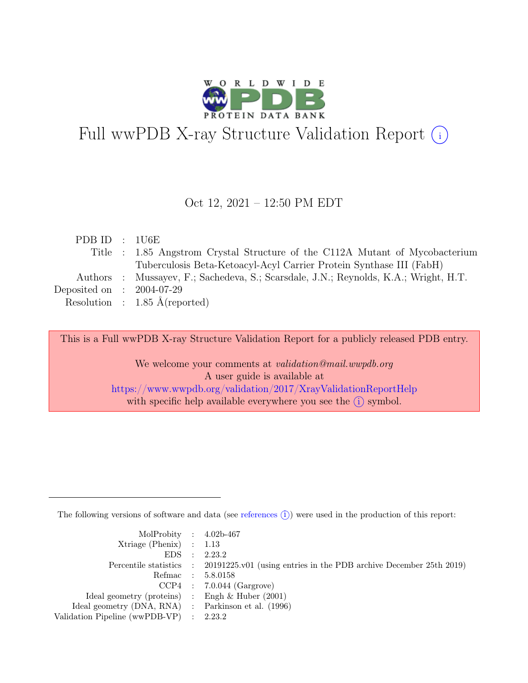

# Full wwPDB X-ray Structure Validation Report  $(i)$

#### Oct 12, 2021 – 12:50 PM EDT

| PDB ID : 1U6E               |                                                                                      |
|-----------------------------|--------------------------------------------------------------------------------------|
|                             | Title : 1.85 Angstrom Crystal Structure of the C112A Mutant of Mycobacterium         |
|                             | Tuberculosis Beta-Ketoacyl-Acyl Carrier Protein Synthase III (FabH)                  |
|                             | Authors : Mussayev, F.; Sachedeva, S.; Scarsdale, J.N.; Reynolds, K.A.; Wright, H.T. |
| Deposited on : $2004-07-29$ |                                                                                      |
|                             | Resolution : $1.85 \text{ Å}$ (reported)                                             |
|                             |                                                                                      |

This is a Full wwPDB X-ray Structure Validation Report for a publicly released PDB entry.

We welcome your comments at validation@mail.wwpdb.org A user guide is available at <https://www.wwpdb.org/validation/2017/XrayValidationReportHelp> with specific help available everywhere you see the  $(i)$  symbol.

The following versions of software and data (see [references](https://www.wwpdb.org/validation/2017/XrayValidationReportHelp#references)  $(i)$ ) were used in the production of this report:

| MolProbity : $4.02b-467$                            |                                                                                            |
|-----------------------------------------------------|--------------------------------------------------------------------------------------------|
| $Xtriangle (Phenix)$ : 1.13                         |                                                                                            |
|                                                     | EDS : 2.23.2                                                                               |
|                                                     | Percentile statistics : 20191225.v01 (using entries in the PDB archive December 25th 2019) |
|                                                     | Refmac : 5.8.0158                                                                          |
|                                                     | $CCP4$ : 7.0.044 (Gargrove)                                                                |
| Ideal geometry (proteins) : Engh $\&$ Huber (2001)  |                                                                                            |
| Ideal geometry (DNA, RNA) : Parkinson et al. (1996) |                                                                                            |
| Validation Pipeline (wwPDB-VP) : 2.23.2             |                                                                                            |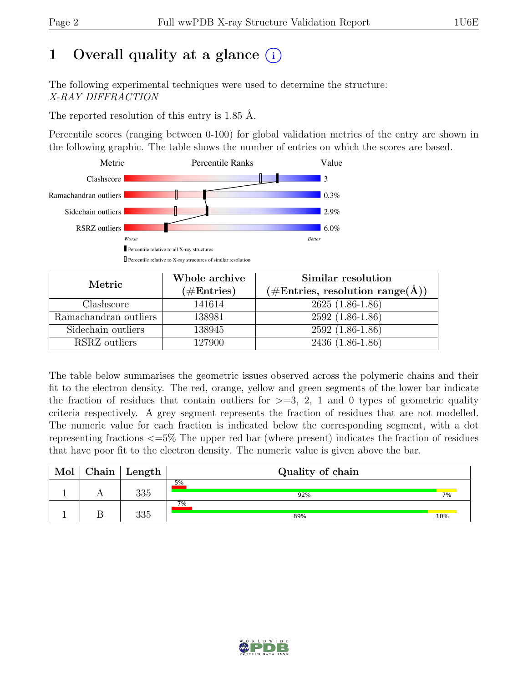## 1 Overall quality at a glance  $(i)$

The following experimental techniques were used to determine the structure: X-RAY DIFFRACTION

The reported resolution of this entry is 1.85 Å.

Percentile scores (ranging between 0-100) for global validation metrics of the entry are shown in the following graphic. The table shows the number of entries on which the scores are based.



| Metric                | Whole archive<br>$(\#Entries)$ | Similar resolution<br>$(\# \text{Entries}, \text{ resolution range}(\AA))$ |  |  |
|-----------------------|--------------------------------|----------------------------------------------------------------------------|--|--|
| Clashscore            | 141614                         | $2625(1.86-1.86)$                                                          |  |  |
|                       |                                |                                                                            |  |  |
| Ramachandran outliers | 138981                         | $2592(1.86-1.86)$                                                          |  |  |
| Sidechain outliers    | 138945                         | $2592(1.86-1.86)$                                                          |  |  |
| RSRZ outliers         | 127900                         | 2436 (1.86-1.86)                                                           |  |  |

The table below summarises the geometric issues observed across the polymeric chains and their fit to the electron density. The red, orange, yellow and green segments of the lower bar indicate the fraction of residues that contain outliers for  $>=$  3, 2, 1 and 0 types of geometric quality criteria respectively. A grey segment represents the fraction of residues that are not modelled. The numeric value for each fraction is indicated below the corresponding segment, with a dot representing fractions <=5% The upper red bar (where present) indicates the fraction of residues that have poor fit to the electron density. The numeric value is given above the bar.

| Mol | Chain | Length | Quality of chain |     |  |  |  |
|-----|-------|--------|------------------|-----|--|--|--|
|     |       | 335    | 5%<br>92%        | 7%  |  |  |  |
|     |       | 335    | $7\%$<br>89%     | 10% |  |  |  |

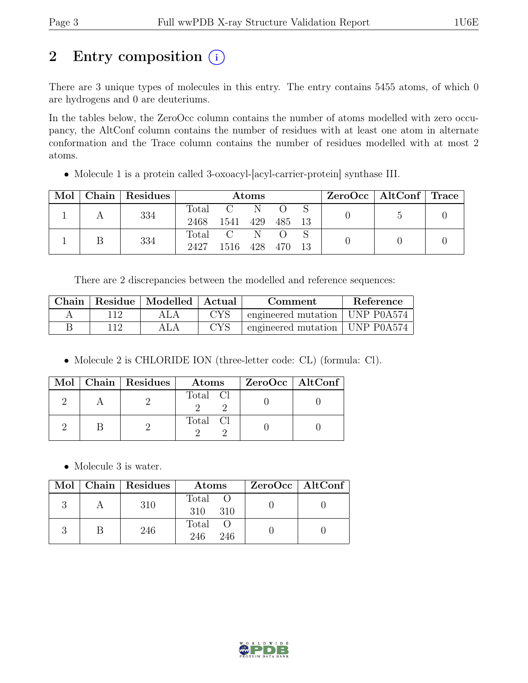## 2 Entry composition  $(i)$

There are 3 unique types of molecules in this entry. The entry contains 5455 atoms, of which 0 are hydrogens and 0 are deuteriums.

In the tables below, the ZeroOcc column contains the number of atoms modelled with zero occupancy, the AltConf column contains the number of residues with at least one atom in alternate conformation and the Trace column contains the number of residues modelled with at most 2 atoms.

• Molecule 1 is a protein called 3-oxoacyl-[acyl-carrier-protein] synthase III.

| Mol |  | Chain Residues | Atoms    |                |              |  |  | ZeroOcc   AltConf   Trace |  |
|-----|--|----------------|----------|----------------|--------------|--|--|---------------------------|--|
|     |  | 334            | Total    | $C = N$        |              |  |  |                           |  |
|     |  | 2468           | 1541     | 429            | 485 13       |  |  |                           |  |
|     |  | 334            | Total    | $\overline{C}$ | $\mathbb{N}$ |  |  |                           |  |
|     |  | 2427           | 1516 428 |                | 470 13       |  |  |                           |  |

There are 2 discrepancies between the modelled and reference sequences:

| Chain |     | Residue   Modelled   Actual |            | Comment                          | Reference |
|-------|-----|-----------------------------|------------|----------------------------------|-----------|
|       |     | ALA                         | <b>CYS</b> | engineered mutation   UNP P0A574 |           |
|       | 112 |                             | <b>CYS</b> | engineered mutation   UNP P0A574 |           |

• Molecule 2 is CHLORIDE ION (three-letter code: CL) (formula: Cl).

|  | $Mol$   Chain   Residues | Atoms    | $ZeroOcc \mid AltConf \mid$ |
|--|--------------------------|----------|-----------------------------|
|  |                          | Total Cl |                             |
|  |                          | Total Cl |                             |

• Molecule 3 is water.

|  | Mol   Chain   Residues | Atoms                 | $ZeroOcc \mid AltConf \mid$ |
|--|------------------------|-----------------------|-----------------------------|
|  | 310                    | Total O<br>310 310    |                             |
|  | 246                    | Total O<br>246<br>246 |                             |

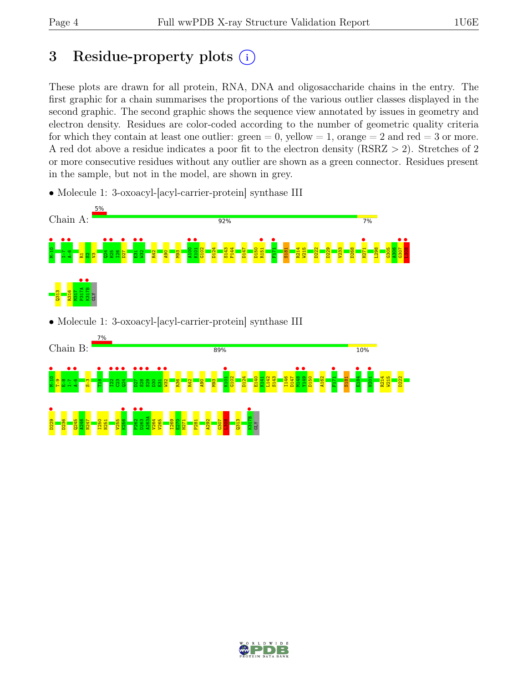## 3 Residue-property plots  $(i)$

These plots are drawn for all protein, RNA, DNA and oligosaccharide chains in the entry. The first graphic for a chain summarises the proportions of the various outlier classes displayed in the second graphic. The second graphic shows the sequence view annotated by issues in geometry and electron density. Residues are color-coded according to the number of geometric quality criteria for which they contain at least one outlier:  $green = 0$ , yellow  $= 1$ , orange  $= 2$  and red  $= 3$  or more. A red dot above a residue indicates a poor fit to the electron density (RSRZ > 2). Stretches of 2 or more consecutive residues without any outlier are shown as a green connector. Residues present in the sample, but not in the model, are shown in grey.

• Molecule 1: 3-oxoacyl-[acyl-carrier-protein] synthase III





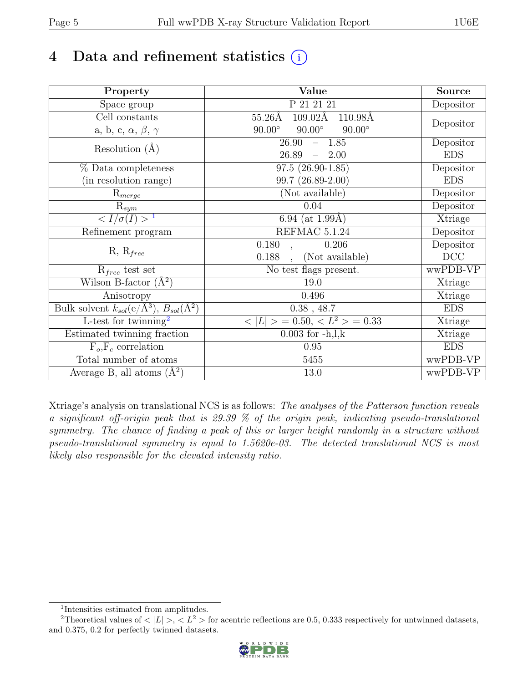## 4 Data and refinement statistics  $(i)$

| Property                                                             | Value                                              | Source     |
|----------------------------------------------------------------------|----------------------------------------------------|------------|
| Space group                                                          | P 21 21 21                                         | Depositor  |
| $\overline{Cell}$ constants                                          | $109.02\text{\AA}$<br>$55.26\text{\AA}$<br>110.98Å |            |
| a, b, c, $\alpha$ , $\beta$ , $\gamma$                               | $90.00^\circ$<br>$90.00^\circ$<br>$90.00^\circ$    | Depositor  |
| Resolution $(A)$                                                     | 1.85<br>26.90<br>$\equiv$                          | Depositor  |
|                                                                      | 26.89<br>2.00<br>$\frac{1}{2}$                     | <b>EDS</b> |
| % Data completeness                                                  | $97.5(26.90-1.85)$                                 | Depositor  |
| (in resolution range)                                                | $99.7(26.89-2.00)$                                 | <b>EDS</b> |
| $R_{merge}$                                                          | (Not available)                                    | Depositor  |
| $\mathrm{R}_{sym}$                                                   | 0.04                                               | Depositor  |
| $\langle I/\sigma(I) \rangle$ <sup>1</sup>                           | 6.94 (at $1.99\text{\AA}$ )                        | Xtriage    |
| Refinement program                                                   | REFMAC 5.1.24                                      | Depositor  |
|                                                                      | 0.180<br>0.206                                     | Depositor  |
| $R, R_{free}$                                                        | (Not available)<br>0.188                           | DCC        |
| $R_{free}$ test set                                                  | No test flags present.                             | wwPDB-VP   |
| Wilson B-factor $(A^2)$                                              | 19.0                                               | Xtriage    |
| Anisotropy                                                           | 0.496                                              | Xtriage    |
| Bulk solvent $k_{sol}(e/\mathring{A}^3)$ , $B_{sol}(\mathring{A}^2)$ | $0.38$ , 48.7                                      | <b>EDS</b> |
| L-test for twinning <sup>2</sup>                                     | $>$ = 0.50, < $L^2$ > = 0.33<br>< L                | Xtriage    |
| Estimated twinning fraction                                          | $0.003$ for $-h, l, k$                             | Xtriage    |
| $F_o, F_c$ correlation                                               | 0.95                                               | <b>EDS</b> |
| Total number of atoms                                                | 5455                                               | wwPDB-VP   |
| Average B, all atoms $(A^2)$                                         | $13.0\,$                                           | wwPDB-VP   |

Xtriage's analysis on translational NCS is as follows: The analyses of the Patterson function reveals a significant off-origin peak that is 29.39 % of the origin peak, indicating pseudo-translational symmetry. The chance of finding a peak of this or larger height randomly in a structure without pseudo-translational symmetry is equal to 1.5620e-03. The detected translational NCS is most likely also responsible for the elevated intensity ratio.

<sup>&</sup>lt;sup>2</sup>Theoretical values of  $\langle |L| \rangle$ ,  $\langle L^2 \rangle$  for acentric reflections are 0.5, 0.333 respectively for untwinned datasets, and 0.375, 0.2 for perfectly twinned datasets.



<span id="page-4-1"></span><span id="page-4-0"></span><sup>1</sup> Intensities estimated from amplitudes.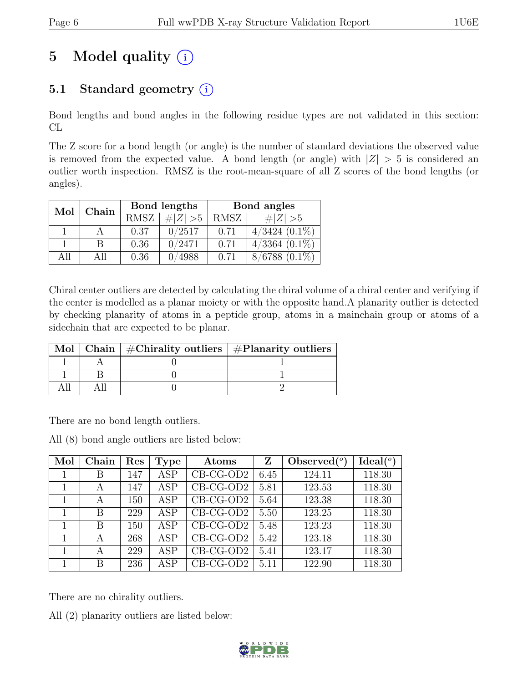# 5 Model quality  $(i)$

## 5.1 Standard geometry  $(i)$

Bond lengths and bond angles in the following residue types are not validated in this section: CL

The Z score for a bond length (or angle) is the number of standard deviations the observed value is removed from the expected value. A bond length (or angle) with  $|Z| > 5$  is considered an outlier worth inspection. RMSZ is the root-mean-square of all Z scores of the bond lengths (or angles).

| Mol  | Chain |      | Bond lengths | Bond angles |                    |  |
|------|-------|------|--------------|-------------|--------------------|--|
|      |       | RMSZ | $\# Z  > 5$  | RMSZ        | $\# Z  > 5$        |  |
|      |       | 0.37 | 0/2517       | 0.71        | $4/3424$ $(0.1\%)$ |  |
|      | В     | 0.36 | 0/2471       | 0.71        | $4/3364$ $(0.1\%)$ |  |
| A 11 | All   | 0.36 | 0/4988       | 0.71        | $8/6788(0.1\%)$    |  |

Chiral center outliers are detected by calculating the chiral volume of a chiral center and verifying if the center is modelled as a planar moiety or with the opposite hand.A planarity outlier is detected by checking planarity of atoms in a peptide group, atoms in a mainchain group or atoms of a sidechain that are expected to be planar.

|  | Mol   Chain   $\#\text{Chirality outliers}$   $\#\text{Planarity outliers}$ |
|--|-----------------------------------------------------------------------------|
|  |                                                                             |
|  |                                                                             |
|  |                                                                             |

There are no bond length outliers.

All (8) bond angle outliers are listed below:

| Mol | Chain | Res | <b>Type</b> | Atoms                         | Ζ    | Observed $(°)$ | Ideal <sup>(o</sup> ) |
|-----|-------|-----|-------------|-------------------------------|------|----------------|-----------------------|
|     | В     | 147 | <b>ASP</b>  | $CB-CG-OD2$                   | 6.45 | 124.11         | 118.30                |
|     | A     | 147 | <b>ASP</b>  | $CB-CG-OD2$                   | 5.81 | 123.53         | 118.30                |
|     | А     | 150 | <b>ASP</b>  | $CB-CG-OD2$                   | 5.64 | 123.38         | 118.30                |
|     | B     | 229 | <b>ASP</b>  | $CB-CG-OD2$                   | 5.50 | 123.25         | 118.30                |
|     | B     | 150 | <b>ASP</b>  | $CB-CG-OD2$                   | 5.48 | 123.23         | 118.30                |
|     | А     | 268 | <b>ASP</b>  | $\overline{\text{CB-CG-OD2}}$ | 5.42 | 123.18         | 118.30                |
|     | А     | 229 | <b>ASP</b>  | $CB-CG-OD2$                   | 5.41 | 123.17         | 118.30                |
|     | B     | 236 | ASP         | $CB-CG-OD2$                   | 5.11 | 122.90         | 118.30                |

There are no chirality outliers.

All (2) planarity outliers are listed below:

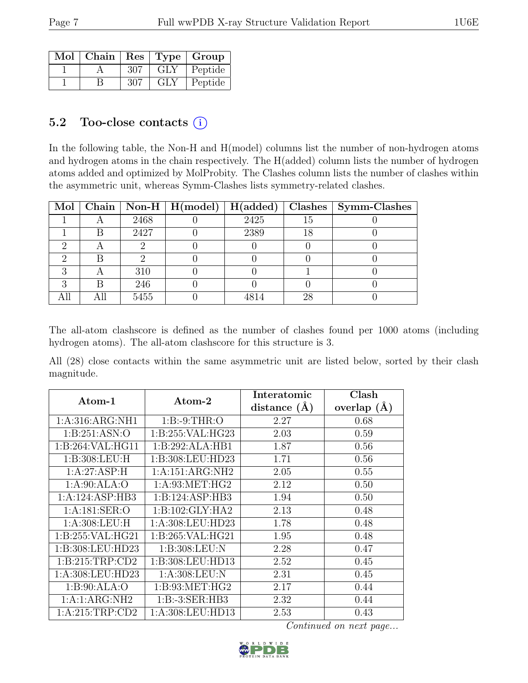| Mol   Chain   Res   Type   Group |     |           |         |
|----------------------------------|-----|-----------|---------|
|                                  | 307 | $\rm GLY$ | Peptide |
|                                  | 307 | GLY       | Peptide |

### 5.2 Too-close contacts  $(i)$

In the following table, the Non-H and H(model) columns list the number of non-hydrogen atoms and hydrogen atoms in the chain respectively. The H(added) column lists the number of hydrogen atoms added and optimized by MolProbity. The Clashes column lists the number of clashes within the asymmetric unit, whereas Symm-Clashes lists symmetry-related clashes.

|   |      |      |    | Mol   Chain   Non-H   H(model)   H(added)   Clashes   Symm-Clashes |
|---|------|------|----|--------------------------------------------------------------------|
|   | 2468 | 2425 | 15 |                                                                    |
|   | 2427 | 2389 | 18 |                                                                    |
|   |      |      |    |                                                                    |
|   |      |      |    |                                                                    |
|   | 310  |      |    |                                                                    |
| R | 246  |      |    |                                                                    |
|   | 5455 | 4814 | 28 |                                                                    |

The all-atom clashscore is defined as the number of clashes found per 1000 atoms (including hydrogen atoms). The all-atom clashscore for this structure is 3.

All (28) close contacts within the same asymmetric unit are listed below, sorted by their clash magnitude.

| Atom-1             | Atom-2              | Interatomic      | Clash          |
|--------------------|---------------------|------------------|----------------|
|                    |                     | distance $(\AA)$ | overlap<br>(A) |
| 1: A:316: ARG: NH1 | 1:B:9:THR:O         | 2.27             | 0.68           |
| 1: B:251: ASN:O    | 1:B:255:VAL:HG23    | 2.03             | 0.59           |
| 1:B:264:VAL:HG11   | 1:B:292:ALA:HB1     | 1.87             | 0.56           |
| 1: B:308: LEU: H   | 1:B:308:LEU:HD23    | 1.71             | 0.56           |
| 1:A:27:ASP:H       | 1:A:151:ARG:NH2     | 2.05             | 0.55           |
| 1:A:90:ALA:O       | 1: A:93:MET:HG2     | 2.12             | 0.50           |
| 1:A:124:ASP:HB3    | 1:B:124:ASP:HB3     | 1.94             | 0.50           |
| 1: A:181: SER:O    | 1: B: 102: GLY: HA2 | 2.13             | 0.48           |
| 1:A:308:LEU:H      | 1:A:308:LEU:HD23    | 1.78             | 0.48           |
| 1: B:255: VAL:HG21 | 1: B:265: VAL:HG21  | 1.95             | 0.48           |
| 1:B:308:LEU:HD23   | 1:B:308:LEU:N       | 2.28             | 0.47           |
| 1: B:215:TRP:CD2   | 1:B:308:LEU:HD13    | 2.52             | 0.45           |
| 1:A:308:LEU:HD23   | 1: A:308:LEU: N     | 2.31             | 0.45           |
| 1: B:90: ALA:O     | 1: B:93:MET:HG2     | 2.17             | 0.44           |
| 1:A:1:ARG:NH2      | 1:B:3:SER:HB3       | 2.32             | 0.44           |
| 1: A:215:TRP:CD2   | 1:A:308:LEU:HD13    | 2.53             | 0.43           |

Continued on next page...

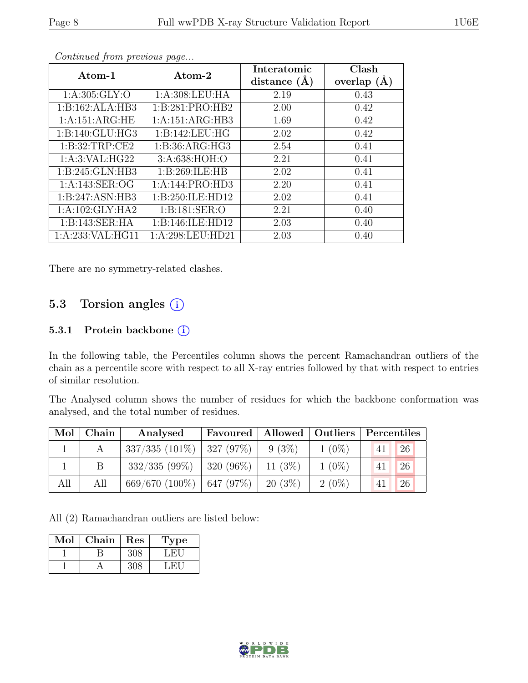| Atom-1              | Atom-2            | Interatomic    | Clash           |
|---------------------|-------------------|----------------|-----------------|
|                     |                   | distance $(A)$ | overlap $(\AA)$ |
| 1: A:305: GLY:O     | 1: A:308:LEU:HA   | 2.19           | 0.43            |
| 1:B:162:ALA:HB3     | 1:B:281:PRO:HB2   | 2.00           | 0.42            |
| 1:A:151:ARG:HE      | 1:A:151:ARG:HB3   | 1.69           | 0.42            |
| 1:B:140:GLU:HG3     | 1:B:142:LEU:HG    | 2.02           | 0.42            |
| 1: B:32:TRP:CE2     | 1: B:36: ARG: HG3 | 2.54           | 0.41            |
| 1: A:3: VAL: HG22   | 3:A:638:HOH:O     | 2.21           | 0.41            |
| 1: B:245: GLN:HB3   | 1:B:269:ILE:HB    | 2.02           | 0.41            |
| 1: A:143: SER:OG    | 1:A:144:PRO:HD3   | 2.20           | 0.41            |
| 1:B:247:ASN:HB3     | 1:B:250:ILE:HD12  | 2.02           | 0.41            |
| 1:A:102:GLY:HA2     | 1:B:181:SER:O     | 2.21           | 0.40            |
| 1:B:143:SER:HA      | 1:B:146:ILE:HD12  | 2.03           | 0.40            |
| 1: A:233: VAL: HG11 | 1:A:298:LEU:HD21  | 2.03           | 0.40            |

Continued from previous page...

There are no symmetry-related clashes.

#### 5.3 Torsion angles (i)

#### 5.3.1 Protein backbone (i)

In the following table, the Percentiles column shows the percent Ramachandran outliers of the chain as a percentile score with respect to all X-ray entries followed by that with respect to entries of similar resolution.

The Analysed column shows the number of residues for which the backbone conformation was analysed, and the total number of residues.

|     | $Mol$   Chain | Analysed                                 | Favoured   Allowed   Outliers   Percentiles |          |          |                 |               |
|-----|---------------|------------------------------------------|---------------------------------------------|----------|----------|-----------------|---------------|
|     |               | $337/335$ (101\%)   327 (97\%)   9 (3\%) |                                             |          | $1(0\%)$ | $\overline{41}$ | <sup>26</sup> |
|     |               | $332/335(99\%)$                          | $320(96\%)$ 11 (3\%)                        |          | $1(0\%)$ | 41              | <sup>26</sup> |
| All | All           | $669/670$ (100%)   647 (97%)             |                                             | 20 (3\%) | $2(0\%)$ | 41              | <sup>26</sup> |

All (2) Ramachandran outliers are listed below:

| Mol | Chain | Res | Type |
|-----|-------|-----|------|
|     |       | 308 | L HI |
|     |       |     | ыL   |

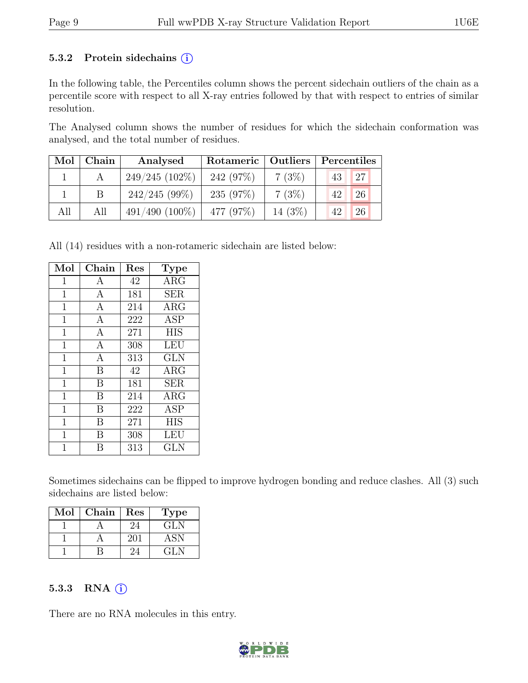#### 5.3.2 Protein sidechains  $(i)$

In the following table, the Percentiles column shows the percent sidechain outliers of the chain as a percentile score with respect to all X-ray entries followed by that with respect to entries of similar resolution.

The Analysed column shows the number of residues for which the sidechain conformation was analysed, and the total number of residues.

| Mol | Chain | Analysed            | Rotameric   | Outliers | Percentiles |
|-----|-------|---------------------|-------------|----------|-------------|
|     |       | $249/245(102\%)$    | 242 (97%)   | 7(3%)    | 27<br>43    |
|     |       | $242/245(99\%)$     | 235 $(97%)$ | 7(3%)    | 26<br>42    |
| All | All   | $491/490$ $(100\%)$ | 477 (97%)   | 14 (3\%) | 26<br>42    |

All (14) residues with a non-rotameric sidechain are listed below:

| Mol            | Chain        | Res | <b>Type</b> |
|----------------|--------------|-----|-------------|
| $\mathbf{1}$   | A            | 42  | ARG         |
| $\mathbf 1$    | A            | 181 | <b>SER</b>  |
| $\mathbf{1}$   | $\mathbf{A}$ | 214 | $\rm{ARG}$  |
| $\mathbf 1$    | A            | 222 | <b>ASP</b>  |
| $\overline{1}$ | $\mathbf{A}$ | 271 | <b>HIS</b>  |
| $\mathbf 1$    | $\mathbf{A}$ | 308 | <b>LEU</b>  |
| $\overline{1}$ | $\mathbf{A}$ | 313 | GLN         |
| $\mathbf 1$    | B            | 42  | $\rm{ARG}$  |
| $\mathbf{1}$   | B            | 181 | <b>SER</b>  |
| 1              | B            | 214 | $\rm{ARG}$  |
| $\mathbf{1}$   | B            | 222 | <b>ASP</b>  |
| 1              | В            | 271 | <b>HIS</b>  |
| $\overline{1}$ | B            | 308 | LEU         |
| 1              | R            | 313 | GLN         |

Sometimes sidechains can be flipped to improve hydrogen bonding and reduce clashes. All (3) such sidechains are listed below:

| Mol | Chain | Res | <b>Type</b> |
|-----|-------|-----|-------------|
|     |       |     | <b>GLN</b>  |
|     |       | 201 | ASN         |
|     |       |     | GLM         |

#### 5.3.3 RNA  $(i)$

There are no RNA molecules in this entry.

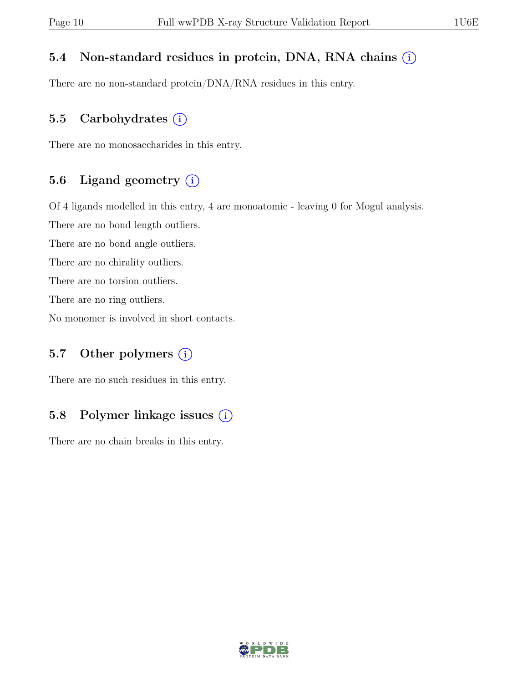#### 5.4 Non-standard residues in protein, DNA, RNA chains  $(i)$

There are no non-standard protein/DNA/RNA residues in this entry.

#### 5.5 Carbohydrates  $(i)$

There are no monosaccharides in this entry.

### 5.6 Ligand geometry  $(i)$

Of 4 ligands modelled in this entry, 4 are monoatomic - leaving 0 for Mogul analysis.

There are no bond length outliers.

There are no bond angle outliers.

There are no chirality outliers.

There are no torsion outliers.

There are no ring outliers.

No monomer is involved in short contacts.

### 5.7 Other polymers  $(i)$

There are no such residues in this entry.

### 5.8 Polymer linkage issues  $(i)$

There are no chain breaks in this entry.

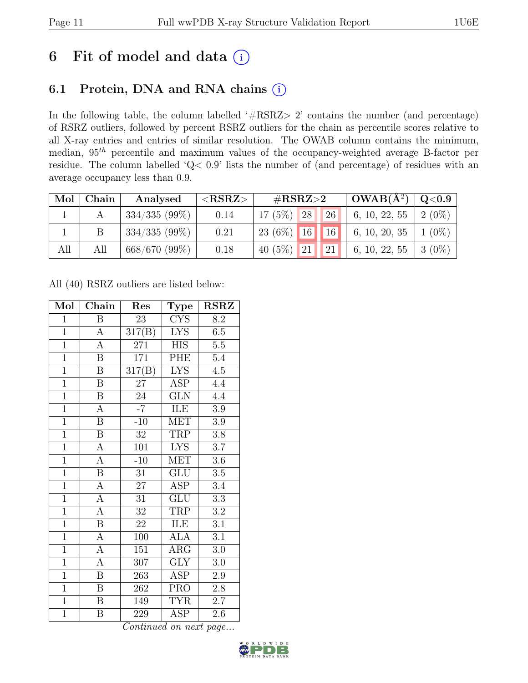## 6 Fit of model and data  $(i)$

## 6.1 Protein, DNA and RNA chains (i)

In the following table, the column labelled ' $\#\text{RSRZ}>2$ ' contains the number (and percentage) of RSRZ outliers, followed by percent RSRZ outliers for the chain as percentile scores relative to all X-ray entries and entries of similar resolution. The OWAB column contains the minimum, median,  $95<sup>th</sup>$  percentile and maximum values of the occupancy-weighted average B-factor per residue. The column labelled 'Q< 0.9' lists the number of (and percentage) of residues with an average occupancy less than 0.9.

| Mol | Chain | Analysed        | ${ <\hspace{-1.5pt} {\rm RSRZ}\hspace{-1.5pt}>}$ | # $RSRZ>2$                    | $\mid$ OWAB( $A^2$ ) $\mid$ Q<0.9 |           |
|-----|-------|-----------------|--------------------------------------------------|-------------------------------|-----------------------------------|-----------|
|     |       | $334/335(99\%)$ | 0.14                                             | 28 <br>$17(5\%)$<br>26        | 6, 10, 22, 55                     | $2(0\%)$  |
|     |       | $334/335(99\%)$ | 0.21                                             | $23(6\%)$ 16 16 6, 10, 20, 35 |                                   | $1(0\%)$  |
| All | All   | 668/670(99%)    | 0.18                                             | 40 (5\%) 21<br> 21            | 6, 10, 22, 55                     | $+3(0\%)$ |

All (40) RSRZ outliers are listed below:

| Mol            | Chain                   | Res                 | Type                    | <b>RSRZ</b>      |
|----------------|-------------------------|---------------------|-------------------------|------------------|
| $\mathbf{1}$   | B                       | 23                  | <b>CYS</b>              | 8.2              |
| $\overline{1}$ | $\boldsymbol{\rm{A}}$   | 317(B)              | <b>LYS</b>              | 6.5              |
| $\overline{1}$ | $\overline{A}$          | 271                 | <b>HIS</b>              | $\overline{5.5}$ |
| $\overline{1}$ | $\, {\bf B}$            | 171                 | PHE                     | 5.4              |
| $\overline{1}$ | $\overline{\mathrm{B}}$ | $\overline{317(B)}$ | $\overline{\text{LYS}}$ | $\overline{4.5}$ |
| $\overline{1}$ | $\, {\bf B}$            | 27                  | ASP                     | 4.4              |
| $\overline{1}$ | $\overline{\mathbf{B}}$ | 24                  | <b>GLN</b>              | 4.4              |
| $\overline{1}$ | $\overline{A}$          | $-7$                | ILE                     | 3.9              |
| $\overline{1}$ | $\overline{\mathrm{B}}$ | $-10$               | <b>MET</b>              | 3.9              |
| $\overline{1}$ | $\overline{\mathbf{B}}$ | 32                  | <b>TRP</b>              | $\overline{3.8}$ |
| $\overline{1}$ | $\overline{A}$          | 101                 | <b>LYS</b>              | 3.7              |
| $\overline{1}$ | $\overline{A}$          | $-10$               | $\overline{\text{MET}}$ | 3.6              |
| $\overline{1}$ | $\overline{B}$          | 31                  | <b>GLU</b>              | $3.5\,$          |
| $\overline{1}$ | $\overline{A}$          | $27\,$              | ASP                     | 3.4              |
| $\overline{1}$ | $\overline{A}$          | $\overline{31}$     | $\overline{\text{GLU}}$ | $\overline{3.3}$ |
| $\overline{1}$ | $\overline{A}$          | 32                  | TRP                     | 3.2              |
| $\overline{1}$ | $\overline{\mathbf{B}}$ | $\overline{22}$     | ILE                     | $\overline{3.1}$ |
| $\mathbf{1}$   | $\boldsymbol{A}$        | 100                 | <b>ALA</b>              | 3.1              |
| $\overline{1}$ | $\overline{A}$          | 151                 | $\overline{\rm{ARG}}$   | 3.0              |
| $\overline{1}$ | $\overline{A}$          | 307                 | <b>GLY</b>              | $3.0\,$          |
| $\overline{1}$ | $\overline{B}$          | 263                 | <b>ASP</b>              | 2.9              |
| $\overline{1}$ | $\boldsymbol{B}$        | 262                 | <b>PRO</b>              | 2.8              |
| $\overline{1}$ | $\overline{B}$          | 149                 | <b>TYR</b>              | 2.7              |
| $\overline{1}$ | Β                       | 229                 | $\overline{\text{ASP}}$ | $2.6\,$          |

Continued on next page...

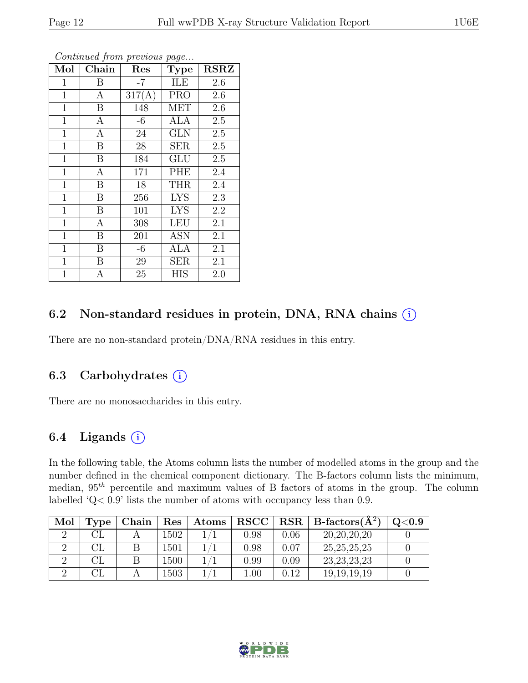| Mol          | Chain            | Res    | <b>Type</b> | <b>RSRZ</b> |
|--------------|------------------|--------|-------------|-------------|
| 1            | B                | $-7$   | ILE         | 2.6         |
| 1            | A                | 317(A) | <b>PRO</b>  | 2.6         |
| $\mathbf{1}$ | $\boldsymbol{B}$ | 148    | <b>MET</b>  | $2.6\,$     |
| $\mathbf{1}$ | $\mathbf{A}$     | -6     | ALA         | 2.5         |
| $\mathbf{1}$ | $\overline{A}$   | 24     | <b>GLN</b>  | 2.5         |
| $\mathbf{1}$ | B                | 28     | <b>SER</b>  | 2.5         |
| $\mathbf{1}$ | $\boldsymbol{B}$ | 184    | GLU         | 2.5         |
| $\mathbf{1}$ | $\boldsymbol{A}$ | 171    | PHE         | 2.4         |
| $\mathbf{1}$ | $\boldsymbol{B}$ | 18     | <b>THR</b>  | 2.4         |
| $\mathbf{1}$ | $\boldsymbol{B}$ | 256    | <b>LYS</b>  | 2.3         |
| $\mathbf{1}$ | $\boldsymbol{B}$ | 101    | <b>LYS</b>  | 2.2         |
| $\mathbf{1}$ | A                | 308    | <b>LEU</b>  | 2.1         |
| $\mathbf{1}$ | $\boldsymbol{B}$ | 201    | <b>ASN</b>  | 2.1         |
| 1            | $\boldsymbol{B}$ | $-6$   | ALA         | 2.1         |
| 1            | B                | $29\,$ | <b>SER</b>  | 2.1         |
| $\mathbf{1}$ | $\boldsymbol{A}$ | 25     | <b>HIS</b>  | 2.0         |

Continued from previous page...

#### 6.2 Non-standard residues in protein, DNA, RNA chains  $(i)$

There are no non-standard protein/DNA/RNA residues in this entry.

#### 6.3 Carbohydrates  $(i)$

There are no monosaccharides in this entry.

#### 6.4 Ligands  $(i)$

In the following table, the Atoms column lists the number of modelled atoms in the group and the number defined in the chemical component dictionary. The B-factors column lists the minimum, median,  $95<sup>th</sup>$  percentile and maximum values of B factors of atoms in the group. The column labelled 'Q< 0.9' lists the number of atoms with occupancy less than 0.9.

| Mol | l'vpe | Chain | Res  | Atoms | RSCC                                                                                                                                                                                                                                                                                                                                                 | $_{\rm RSR}$ | $\vert$ B-factors( $\rm \AA^2$ ) | ${<}0.9$ |
|-----|-------|-------|------|-------|------------------------------------------------------------------------------------------------------------------------------------------------------------------------------------------------------------------------------------------------------------------------------------------------------------------------------------------------------|--------------|----------------------------------|----------|
|     |       |       | 1502 |       | 0.98                                                                                                                                                                                                                                                                                                                                                 | $0.06\,$     | 20, 20, 20, 20                   |          |
|     |       |       | 1501 |       | 0.98                                                                                                                                                                                                                                                                                                                                                 | 0.07         | 25, 25, 25, 25                   |          |
|     | ٦L    |       | 1500 |       | ${0.99}% \noindent where $d = 0.99$ and $d = 0.99$ and $d = 0.99$ for $d = 0.99$ and $d = 0.99$ for $d = 0.99$ and $d = 0.99$ for $d = 0.99$ for $d = 0.99$ for $d = 0.99$ for $d = 0.99$ for $d = 0.99$ for $d = 0.99$ for $d = 0.99$ for $d = 0.99$ for $d = 0.99$ for $d = 0.99$ for $d = 0.99$ for $d = 0.99$ for $d = 0.99$ for $d = 0.99$ for$ | 0.09         | 23, 23, 23, 23                   |          |
|     |       |       | 503  |       | 0.01                                                                                                                                                                                                                                                                                                                                                 | J.12         | 19, 19, 19, 19                   |          |